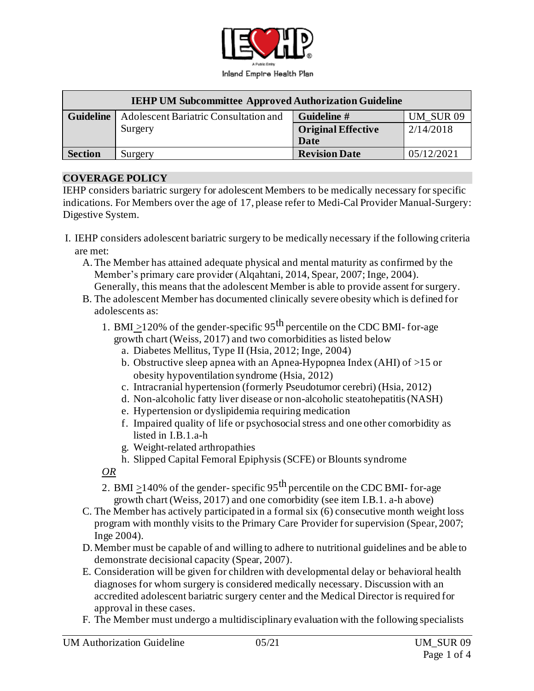

| <b>IEHP UM Subcommittee Approved Authorization Guideline</b> |                                       |                           |            |
|--------------------------------------------------------------|---------------------------------------|---------------------------|------------|
| <b>Guideline</b>                                             | Adolescent Bariatric Consultation and | Guideline #               | UM SUR 09  |
|                                                              | Surgery                               | <b>Original Effective</b> | 2/14/2018  |
|                                                              |                                       | Date                      |            |
| <b>Section</b>                                               | Surgery                               | <b>Revision Date</b>      | 05/12/2021 |

#### **COVERAGE POLICY**

IEHP considers bariatric surgery for adolescent Members to be medically necessary for specific indications. For Members over the age of 17, please refer to Medi-Cal Provider Manual-Surgery: Digestive System.

- I. IEHP considers adolescent bariatric surgery to be medically necessary if the following criteria are met:
	- A.The Member has attained adequate physical and mental maturity as confirmed by the Member's primary care provider (Alqahtani, 2014, Spear, 2007; Inge, 2004).
	- Generally, this means that the adolescent Member is able to provide assent for surgery. B. The adolescent Member has documented clinically severe obesity which is defined for adolescents as:
		- 1. BMI >120% of the gender-specific  $95<sup>th</sup>$  percentile on the CDC BMI-for-age growth chart (Weiss, 2017) and two comorbidities as listed below
			- a. Diabetes Mellitus, Type II (Hsia, 2012; Inge, 2004)
			- b. Obstructive sleep apnea with an Apnea-Hypopnea Index (AHI) of >15 or obesity hypoventilation syndrome (Hsia, 2012)
			- c. Intracranial hypertension (formerly Pseudotumor cerebri) (Hsia, 2012)
			- d. Non-alcoholic fatty liver disease or non-alcoholic steatohepatitis(NASH)
			- e. Hypertension or dyslipidemia requiring medication
			- f. Impaired quality of life or psychosocialstress and one other comorbidity as listed in I.B.1.a-h
			- g. Weight-related arthropathies
			- h. Slipped Capital Femoral Epiphysis (SCFE) or Blounts syndrome

*OR*

- 2. BMI >140% of the gender- specific  $95<sup>th</sup>$  percentile on the CDC BMI- for-age growth chart (Weiss, 2017) and one comorbidity (see item I.B.1. a-h above)
- C. The Member has actively participated in a formal six (6) consecutive month weight loss program with monthly visits to the Primary Care Provider for supervision (Spear, 2007; Inge 2004).
- D. Member must be capable of and willing to adhere to nutritional guidelines and be able to demonstrate decisional capacity (Spear, 2007).
- E. Consideration will be given for children with developmental delay or behavioral health diagnoses for whom surgery is considered medically necessary. Discussion with an accredited adolescent bariatric surgery center and the Medical Director is required for approval in these cases.
- F. The Member must undergo a multidisciplinary evaluation with the following specialists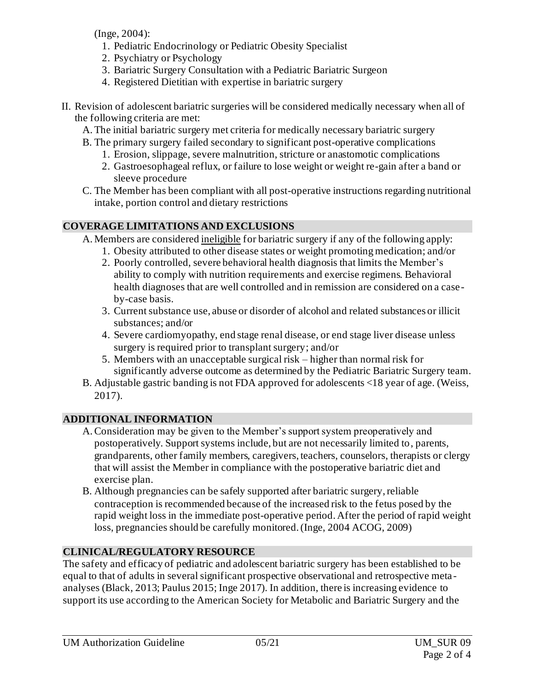(Inge, 2004):

- 1. Pediatric Endocrinology or Pediatric Obesity Specialist
- 2. Psychiatry or Psychology
- 3. Bariatric Surgery Consultation with a Pediatric Bariatric Surgeon
- 4. Registered Dietitian with expertise in bariatric surgery
- II. Revision of adolescent bariatric surgeries will be considered medically necessary when all of the following criteria are met:
	- A.The initial bariatric surgery met criteria for medically necessary bariatric surgery
	- B. The primary surgery failed secondary to significant post-operative complications
		- 1. Erosion, slippage, severe malnutrition, stricture or anastomotic complications
		- 2. Gastroesophageal reflux, or failure to lose weight or weight re-gain after a band or sleeve procedure
	- C. The Member has been compliant with all post-operative instructions regarding nutritional intake, portion control and dietary restrictions

### **COVERAGE LIMITATIONS AND EXCLUSIONS**

A. Members are considered ineligible for bariatric surgery if any of the following apply:

- 1. Obesity attributed to other disease states or weight promoting medication; and/or
- 2. Poorly controlled, severe behavioral health diagnosis that limits the Member's ability to comply with nutrition requirements and exercise regimens. Behavioral health diagnoses that are well controlled and in remission are considered on a caseby-case basis.
- 3. Current substance use, abuse or disorder of alcohol and related substances or illicit substances; and/or
- 4. Severe cardiomyopathy, end stage renal disease, or end stage liver disease unless surgery is required prior to transplant surgery; and/or
- 5. Members with an unacceptable surgical risk higher than normal risk for significantly adverse outcome as determined by the Pediatric Bariatric Surgery team.
- B. Adjustable gastric banding is not FDA approved for adolescents <18 year of age. (Weiss, 2017).

# **ADDITIONAL INFORMATION**

- A.Consideration may be given to the Member's support system preoperatively and postoperatively. Support systems include, but are not necessarily limited to, parents, grandparents, other family members, caregivers, teachers, counselors, therapists or clergy that will assist the Member in compliance with the postoperative bariatric diet and exercise plan.
- B. Although pregnancies can be safely supported after bariatric surgery, reliable contraception is recommended because of the increased risk to the fetus posed by the rapid weight loss in the immediate post-operative period. After the period of rapid weight loss, pregnancies should be carefully monitored. (Inge, 2004 ACOG, 2009)

# **CLINICAL/REGULATORY RESOURCE**

The safety and efficacy of pediatric and adolescent bariatric surgery has been established to be equal to that of adults in several significant prospective observational and retrospective meta analyses (Black, 2013; Paulus 2015; Inge 2017). In addition, there is increasing evidence to support its use according to the American Society for Metabolic and Bariatric Surgery and the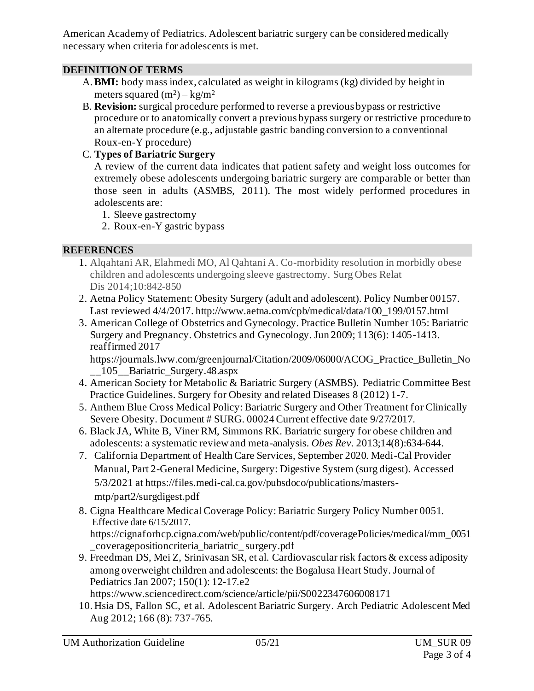American Academy of Pediatrics. Adolescent bariatric surgery can be considered medically necessary when criteria for adolescents is met.

### **DEFINITION OF TERMS**

- A.**BMI:** body mass index, calculated as weight in kilograms (kg) divided by height in meters squared  $(m^2) - kg/m^2$
- B. **Revision:** surgical procedure performed to reverse a previous bypass or restrictive procedure or to anatomically convert a previous bypass surgery or restrictive procedure to an alternate procedure (e.g., adjustable gastric banding conversion to a conventional Roux-en-Y procedure)

#### C. **Types of Bariatric Surgery**

A review of the current data indicates that patient safety and weight loss outcomes for extremely obese adolescents undergoing bariatric surgery are comparable or better than those seen in adults (ASMBS, 2011). The most widely performed procedures in adolescents are:

- 1. Sleeve gastrectomy
- 2. Roux-en-Y gastric bypass

### **REFERENCES**

- 1. Alqahtani AR, Elahmedi MO, Al Qahtani A. Co-morbidity resolution in morbidly obese children and adolescents undergoing sleeve gastrectomy. Surg Obes Relat Dis 2014;10:842-850
- 2. Aetna Policy Statement: Obesity Surgery (adult and adolescent). Policy Number 00157. Last reviewed 4/4/2017. [http://www.aetna.com/cpb/medical/data/100\\_199/0157.html](http://www.aetna.com/cpb/medical/data/100_199/0157.html)
- 3. American College of Obstetrics and Gynecology. Practice Bulletin Number 105: Bariatric Surgery and Pregnancy. Obstetrics and Gynecology. Jun 2009; 113(6): 1405-1413. reaffirmed 2017

[https://journals.lww.com/greenjournal/Citation/2009/06000/ACOG\\_Practice\\_Bulletin\\_No](https://journals.lww.com/greenjournal/Citation/2009/06000/ACOG_Practice_Bulletin_No__105__Bariatric_Surgery.48.aspx) [\\_\\_105\\_\\_Bariatric\\_Surgery.48.aspx](https://journals.lww.com/greenjournal/Citation/2009/06000/ACOG_Practice_Bulletin_No__105__Bariatric_Surgery.48.aspx)

- 4. American Society for Metabolic & Bariatric Surgery (ASMBS). Pediatric Committee Best Practice Guidelines. Surgery for Obesity and related Diseases 8 (2012) 1-7.
- 5. Anthem Blue Cross Medical Policy: Bariatric Surgery and Other Treatment for Clinically Severe Obesity. Document # SURG. 00024 Current effective date 9/27/2017.
- 6. Black JA, White B, Viner RM, Simmons RK. Bariatric surgery for obese children and adolescents: a systematic review and meta-analysis. *Obes Rev.* 2013;14(8):634-644.
- 7. California Department of Health Care Services, September 2020. Medi-Cal Provider Manual, Part 2-General Medicine, Surgery: Digestive System (surg digest). Accessed 5/3/2021 a[t https://files.medi-cal.ca.gov/pubsdoco/publications/masters](https://files.medi-cal.ca.gov/pubsdoco/publications/masters-mtp/part2/surgdigest.pdf)[mtp/part2/surgdigest.pdf](https://files.medi-cal.ca.gov/pubsdoco/publications/masters-mtp/part2/surgdigest.pdf)
- 8. Cigna Healthcare Medical Coverage Policy: Bariatric Surgery Policy Number 0051. Effective date 6/15/2017. [https://cignaforhcp.cigna.com/web/public/content/pdf/coveragePolicies/medical/mm\\_0051](https://cignaforhcp.cigna.com/web/public/content/pdf/coveragePolicies/medical/mm_0051_coveragepositioncriteria_bariatric_%20surgery.pdf)

[\\_coveragepositioncriteria\\_bariatric\\_ surgery.pdf](https://cignaforhcp.cigna.com/web/public/content/pdf/coveragePolicies/medical/mm_0051_coveragepositioncriteria_bariatric_%20surgery.pdf) 

9. Freedman DS, Mei Z, Srinivasan SR, et al. Cardiovascular risk factors & excess adiposity among overweight children and adolescents: the Bogalusa Heart Study. Journal of Pediatrics Jan 2007; 150(1): 12-17.e2

<https://www.sciencedirect.com/science/article/pii/S0022347606008171>

10. Hsia DS, Fallon SC, et al. Adolescent Bariatric Surgery. Arch Pediatric Adolescent Med Aug 2012; 166 (8): 737-765.